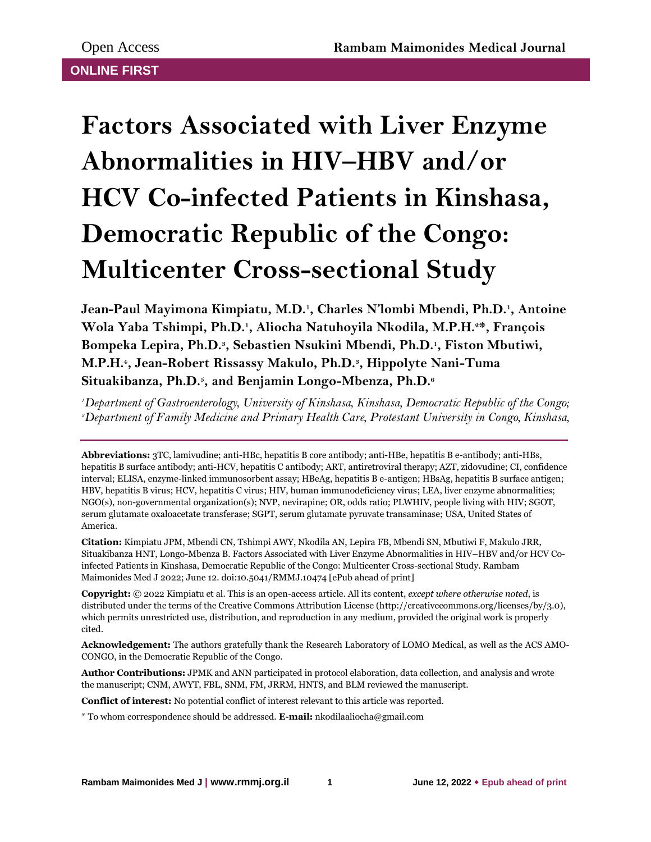# **Factors Associated with Liver Enzyme Abnormalities in HIV–HBV and/or HCV Co-infected Patients in Kinshasa, Democratic Republic of the Congo: Multicenter Cross-sectional Study**

**Jean-Paul Mayimona Kimpiatu, M.D.<sup>1</sup> , Charles N'lombi Mbendi, Ph.D.<sup>1</sup> , Antoine Wola Yaba Tshimpi, Ph.D.<sup>1</sup> , Aliocha Natuhoyila Nkodila, M.P.H.2\*, François Bompeka Lepira, Ph.D.<sup>3</sup> , Sebastien Nsukini Mbendi, Ph.D.<sup>1</sup> , Fiston Mbutiwi, M.P.H.<sup>4</sup> , Jean-Robert Rissassy Makulo, Ph.D.<sup>3</sup> , Hippolyte Nani-Tuma Situakibanza, Ph.D.<sup>5</sup> , and Benjamin Longo-Mbenza, Ph.D.<sup>6</sup>**

*<sup>1</sup>Department of Gastroenterology, University of Kinshasa, Kinshasa, Democratic Republic of the Congo; 2Department of Family Medicine and Primary Health Care, Protestant University in Congo, Kinshasa,* 

**Abbreviations:** 3TC, lamivudine; anti-HBc, hepatitis B core antibody; anti-HBe, hepatitis B e-antibody; anti-HBs, hepatitis B surface antibody; anti-HCV, hepatitis C antibody; ART, antiretroviral therapy; AZT, zidovudine; CI, confidence interval; ELISA, enzyme-linked immunosorbent assay; HBeAg, hepatitis B e-antigen; HBsAg, hepatitis B surface antigen; HBV, hepatitis B virus; HCV, hepatitis C virus; HIV, human immunodeficiency virus; LEA, liver enzyme abnormalities; NGO(s), non-governmental organization(s); NVP, nevirapine; OR, odds ratio; PLWHIV, people living with HIV; SGOT, serum glutamate oxaloacetate transferase; SGPT, serum glutamate pyruvate transaminase; USA, United States of America.

**Citation:** Kimpiatu JPM, Mbendi CN, Tshimpi AWY, Nkodila AN, Lepira FB, Mbendi SN, Mbutiwi F, Makulo JRR, Situakibanza HNT, Longo-Mbenza B. Factors Associated with Liver Enzyme Abnormalities in HIV–HBV and/or HCV Coinfected Patients in Kinshasa, Democratic Republic of the Congo: Multicenter Cross-sectional Study. Rambam Maimonides Med J 2022; June 12. doi:10.5041/RMMJ.10474 [ePub ahead of print]

**Copyright:** © 2022 Kimpiatu et al. This is an open-access article. All its content, *except where otherwise noted*, is distributed under the terms of the Creative Commons Attribution License (http://creativecommons.org/licenses/by/3.0), which permits unrestricted use, distribution, and reproduction in any medium, provided the original work is properly cited.

**Acknowledgement:** The authors gratefully thank the Research Laboratory of LOMO Medical, as well as the ACS AMO-CONGO, in the Democratic Republic of the Congo.

**Author Contributions:** JPMK and ANN participated in protocol elaboration, data collection, and analysis and wrote the manuscript; CNM, AWYT, FBL, SNM, FM, JRRM, HNTS, and BLM reviewed the manuscript.

**Conflict of interest:** No potential conflict of interest relevant to this article was reported.

\* To whom correspondence should be addressed. **E-mail:** nkodilaaliocha@gmail.com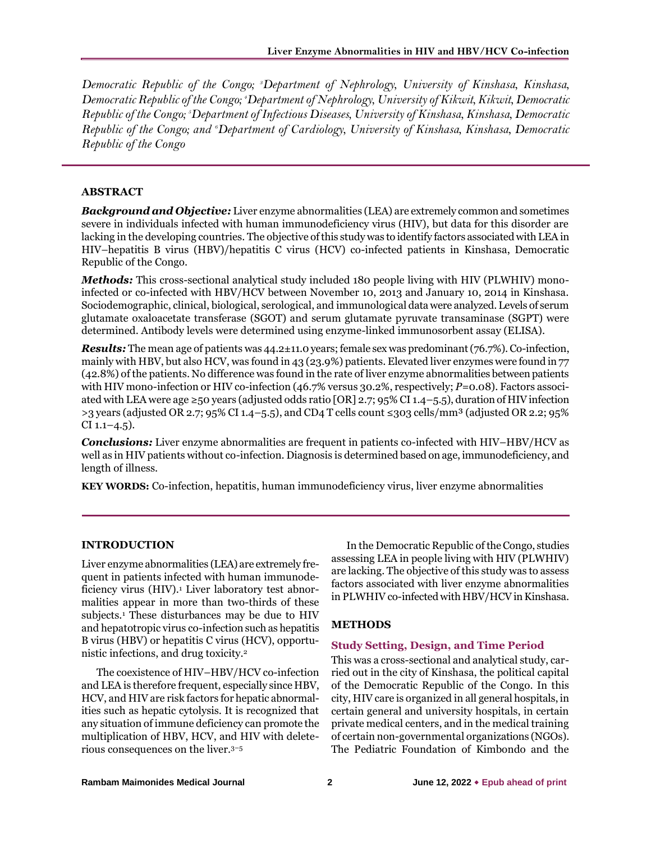*Democratic Republic of the Congo; 3Department of Nephrology, University of Kinshasa, Kinshasa, Democratic Republic of the Congo; 4Department of Nephrology, University of Kikwit, Kikwit, Democratic Republic of the Congo; 5Department of Infectious Diseases, University of Kinshasa, Kinshasa, Democratic Republic of the Congo; and 6Department of Cardiology, University of Kinshasa, Kinshasa, Democratic Republic of the Congo*

# **ABSTRACT**

*Background and Objective:* Liver enzyme abnormalities (LEA) are extremely common and sometimes severe in individuals infected with human immunodeficiency virus (HIV), but data for this disorder are lacking in the developing countries. The objective of this study was to identify factors associated with LEA in HIV–hepatitis B virus (HBV)/hepatitis C virus (HCV) co-infected patients in Kinshasa, Democratic Republic of the Congo.

*Methods:* This cross-sectional analytical study included 180 people living with HIV (PLWHIV) monoinfected or co-infected with HBV/HCV between November 10, 2013 and January 10, 2014 in Kinshasa. Sociodemographic, clinical, biological, serological, and immunological data were analyzed. Levels of serum glutamate oxaloacetate transferase (SGOT) and serum glutamate pyruvate transaminase (SGPT) were determined. Antibody levels were determined using enzyme-linked immunosorbent assay (ELISA).

*Results:* The mean age of patients was 44.2±11.0 years; female sex was predominant (76.7%). Co-infection, mainly with HBV, but also HCV, was found in 43 (23.9%) patients. Elevated liver enzymes were found in 77 (42.8%) of the patients. No difference was found in the rate of liver enzyme abnormalities between patients with HIV mono-infection or HIV co-infection (46.7% versus 30.2%, respectively; *P*=0.08). Factors associated with LEA were age ≥50 years (adjusted odds ratio [OR] 2.7; 95% CI 1.4–5.5), duration of HIV infection  $>$ 3 years (adjusted OR 2.7; 95% CI 1.4–5.5), and CD4 T cells count ≤303 cells/mm<sup>3</sup> (adjusted OR 2.2; 95%)  $CI$  1.1–4.5).

*Conclusions:* Liver enzyme abnormalities are frequent in patients co-infected with HIV–HBV/HCV as well as in HIV patients without co-infection. Diagnosis is determined based on age, immunodeficiency, and length of illness.

**KEY WORDS:** Co-infection, hepatitis, human immunodeficiency virus, liver enzyme abnormalities

# **INTRODUCTION**

Liver enzyme abnormalities (LEA) are extremely frequent in patients infected with human immunodeficiency virus (HIV).<sup>1</sup> Liver laboratory test abnormalities appear in more than two-thirds of these subjects.<sup>1</sup> These disturbances may be due to HIV and hepatotropic virus co-infection such as hepatitis B virus (HBV) or hepatitis C virus (HCV), opportunistic infections, and drug toxicity.<sup>2</sup>

The coexistence of HIV–HBV/HCV co-infection and LEA is therefore frequent, especially since HBV, HCV, and HIV are risk factors for hepatic abnormalities such as hepatic cytolysis. It is recognized that any situation of immune deficiency can promote the multiplication of HBV, HCV, and HIV with deleterious consequences on the liver.3–<sup>5</sup>

In the Democratic Republic of the Congo, studies assessing LEA in people living with HIV (PLWHIV) are lacking. The objective of this study was to assess factors associated with liver enzyme abnormalities in PLWHIV co-infected with HBV/HCV in Kinshasa.

#### **METHODS**

#### **Study Setting, Design, and Time Period**

This was a cross-sectional and analytical study, carried out in the city of Kinshasa, the political capital of the Democratic Republic of the Congo. In this city, HIV care is organized in all general hospitals, in certain general and university hospitals, in certain private medical centers, and in the medical training of certain non-governmental organizations (NGOs). The Pediatric Foundation of Kimbondo and the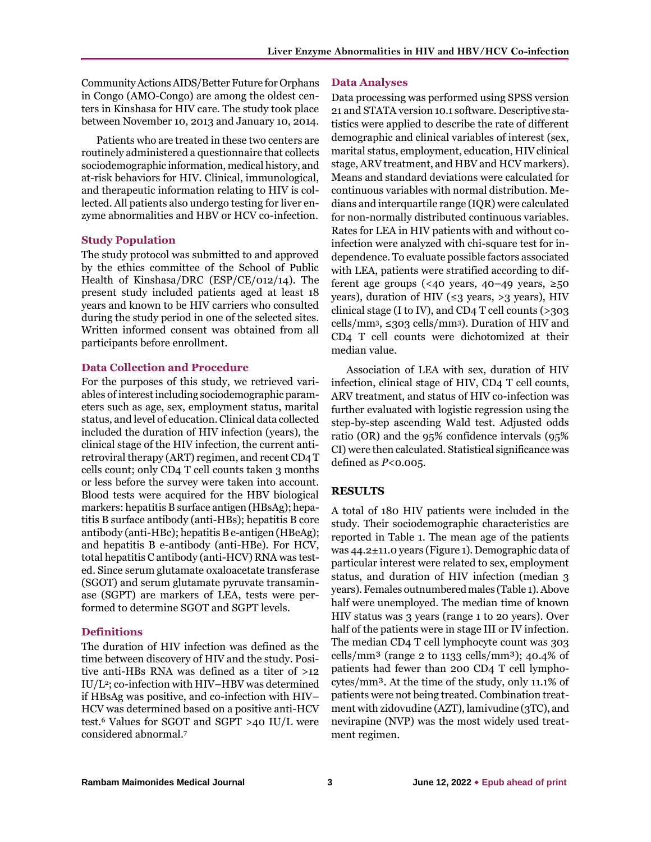Community ActionsAIDS/Better Future for Orphans in Congo (AMO-Congo) are among the oldest centers in Kinshasa for HIV care. The study took place between November 10, 2013 and January 10, 2014.

Patients who are treated in these two centers are routinely administered a questionnaire that collects sociodemographic information, medical history, and at-risk behaviors for HIV. Clinical, immunological, and therapeutic information relating to HIV is collected. All patients also undergo testing for liver enzyme abnormalities and HBV or HCV co-infection.

# **Study Population**

The study protocol was submitted to and approved by the ethics committee of the School of Public Health of Kinshasa/DRC (ESP/CE/012/14). The present study included patients aged at least 18 years and known to be HIV carriers who consulted during the study period in one of the selected sites. Written informed consent was obtained from all participants before enrollment.

### **Data Collection and Procedure**

For the purposes of this study, we retrieved variables of interest including sociodemographic parameters such as age, sex, employment status, marital status, and level of education. Clinical data collected included the duration of HIV infection (years), the clinical stage of the HIV infection, the current antiretroviral therapy (ART) regimen, and recent CD4 T cells count; only CD4 T cell counts taken 3 months or less before the survey were taken into account. Blood tests were acquired for the HBV biological markers: hepatitis B surface antigen (HBsAg); hepatitis B surface antibody (anti-HBs); hepatitis B core antibody (anti-HBc); hepatitis B e-antigen (HBeAg); and hepatitis B e-antibody (anti-HBe). For HCV, total hepatitis C antibody (anti-HCV) RNA was tested. Since serum glutamate oxaloacetate transferase (SGOT) and serum glutamate pyruvate transaminase (SGPT) are markers of LEA, tests were performed to determine SGOT and SGPT levels.

### **Definitions**

The duration of HIV infection was defined as the time between discovery of HIV and the study. Positive anti-HBs RNA was defined as a titer of >12 IU/L2; co-infection with HIV–HBV was determined if HBsAg was positive, and co-infection with HIV– HCV was determined based on a positive anti-HCV test.<sup>6</sup> Values for SGOT and SGPT >40 IU/L were considered abnormal.<sup>7</sup>

#### **Data Analyses**

Data processing was performed using SPSS version 21 and STATA version 10.1 software. Descriptive statistics were applied to describe the rate of different demographic and clinical variables of interest (sex, marital status, employment, education, HIV clinical stage, ARV treatment, and HBV and HCV markers). Means and standard deviations were calculated for continuous variables with normal distribution. Medians and interquartile range (IQR) were calculated for non-normally distributed continuous variables. Rates for LEA in HIV patients with and without coinfection were analyzed with chi-square test for independence. To evaluate possible factors associated with LEA, patients were stratified according to different age groups (<40 years, 40–49 years, ≥50 years), duration of HIV ( $\leq$ 3 years, >3 years), HIV clinical stage (I to IV), and CD4 T cell counts (>303 cells/mm<sup>3</sup>,  $\leq$ 303 cells/mm<sup>3</sup>). Duration of HIV and CD4 T cell counts were dichotomized at their median value.

Association of LEA with sex, duration of HIV infection, clinical stage of HIV, CD4 T cell counts, ARV treatment, and status of HIV co-infection was further evaluated with logistic regression using the step-by-step ascending Wald test. Adjusted odds ratio (OR) and the 95% confidence intervals (95% CI) were then calculated. Statistical significance was defined as *P*<0.005.

# **RESULTS**

A total of 180 HIV patients were included in the study. Their sociodemographic characteristics are reported in Table 1. The mean age of the patients was 44.2±11.0 years (Figure 1). Demographic data of particular interest were related to sex, employment status, and duration of HIV infection (median 3 years). Females outnumbered males (Table 1). Above half were unemployed. The median time of known HIV status was 3 years (range 1 to 20 years). Over half of the patients were in stage III or IV infection. The median CD4 T cell lymphocyte count was 303 cells/mm<sup>3</sup> (range 2 to  $1133$  cells/mm<sup>3</sup>); 40.4% of patients had fewer than 200 CD4 T cell lymphocytes/mm³. At the time of the study, only 11.1% of patients were not being treated. Combination treatment with zidovudine (AZT), lamivudine (3TC), and nevirapine (NVP) was the most widely used treatment regimen.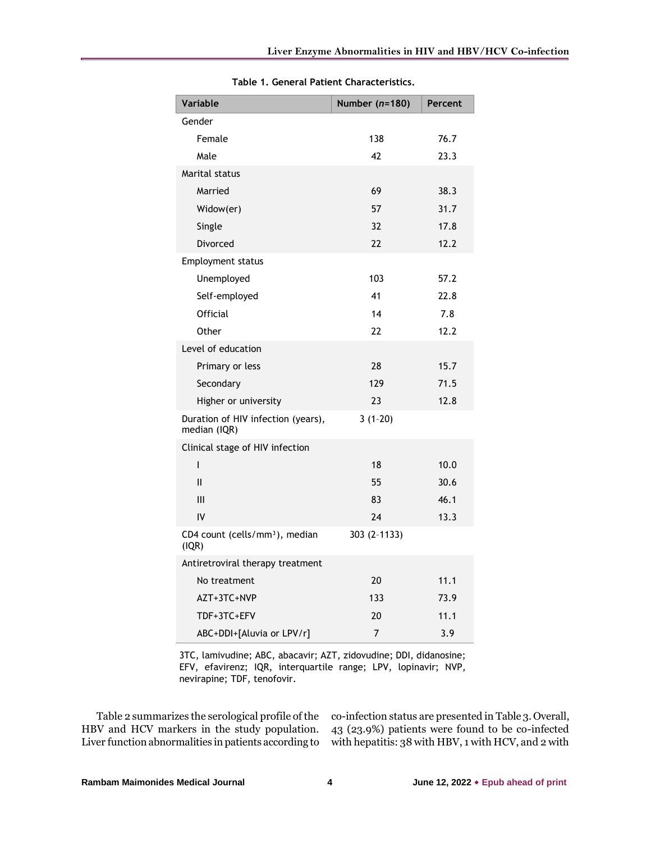| Variable                                            | Number $(n=180)$ | Percent |
|-----------------------------------------------------|------------------|---------|
| Gender                                              |                  |         |
| Female                                              | 138              | 76.7    |
| Male                                                | 42               | 23.3    |
| Marital status                                      |                  |         |
| Married                                             | 69               | 38.3    |
| Widow(er)                                           | 57               | 31.7    |
| Single                                              | 32               | 17.8    |
| Divorced                                            | 22               | 12.2    |
| Employment status                                   |                  |         |
| Unemployed                                          | 103              | 57.2    |
| Self-employed                                       | 41               | 22.8    |
| Official                                            | 14               | 7.8     |
| Other                                               | 22               | 12.2    |
| Level of education                                  |                  |         |
| Primary or less                                     | 28               | 15.7    |
| Secondary                                           | 129              | 71.5    |
| Higher or university                                | 23               | 12.8    |
| Duration of HIV infection (years),<br>median (IQR)  | $3(1-20)$        |         |
| Clinical stage of HIV infection                     |                  |         |
| I                                                   | 18               | 10.0    |
| $\mathbf{I}$                                        | 55               | 30.6    |
| III                                                 | 83               | 46.1    |
| IV                                                  | 24               | 13.3    |
| CD4 count (cells/mm <sup>3</sup> ), median<br>(IQR) | 303 (2-1133)     |         |
| Antiretroviral therapy treatment                    |                  |         |
| No treatment                                        | 20               | 11.1    |
| AZT+3TC+NVP                                         | 133              | 73.9    |
| TDF+3TC+EFV                                         | 20               | 11.1    |
| ABC+DDI+[Aluvia or LPV/r]                           | 7                | 3.9     |

**Table 1. General Patient Characteristics.**

3TC, lamivudine; ABC, abacavir; AZT, zidovudine; DDI, didanosine; EFV, efavirenz; IQR, interquartile range; LPV, lopinavir; NVP, nevirapine; TDF, tenofovir.

Table 2 summarizes the serological profile of the HBV and HCV markers in the study population. Liver function abnormalities in patients according to

co-infection status are presented in Table 3. Overall, 43 (23.9%) patients were found to be co-infected with hepatitis: 38 with HBV, 1 with HCV, and 2 with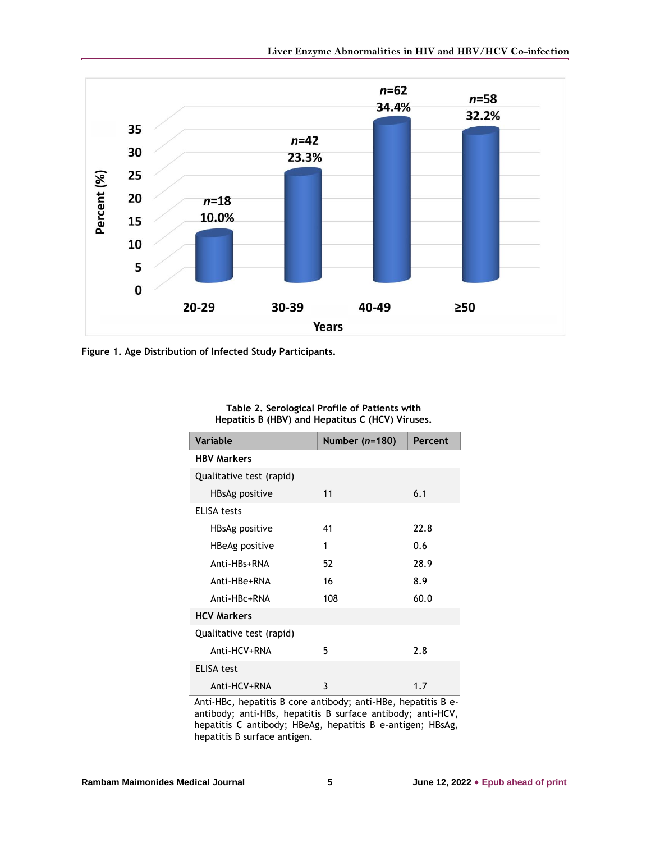

**Figure 1. Age Distribution of Infected Study Participants.**

| Table 2. Serological Profile of Patients with    |
|--------------------------------------------------|
| Hepatitis B (HBV) and Hepatitus C (HCV) Viruses. |

| <b>Variable</b>          | Number $(n=180)$ | Percent |
|--------------------------|------------------|---------|
| <b>HBV Markers</b>       |                  |         |
| Qualitative test (rapid) |                  |         |
| HBsAg positive           | 11               | 6.1     |
| ELISA tests              |                  |         |
| HBsAg positive           | 41               | 22.8    |
| HBeAg positive           | 1                | 0.6     |
| Anti-HBs+RNA             | 52               | 28.9    |
| Anti-HBe+RNA             | 16               | 8.9     |
| Anti-HBc+RNA             | 108              | 60.0    |
| <b>HCV Markers</b>       |                  |         |
| Qualitative test (rapid) |                  |         |
| Anti-HCV+RNA             | 5                | 2.8     |
| <b>ELISA test</b>        |                  |         |
| Anti-HCV+RNA             | 3                | 1.7     |

Anti-HBc, hepatitis B core antibody; anti-HBe, hepatitis B eantibody; anti-HBs, hepatitis B surface antibody; anti-HCV, hepatitis C antibody; HBeAg, hepatitis B e-antigen; HBsAg, hepatitis B surface antigen.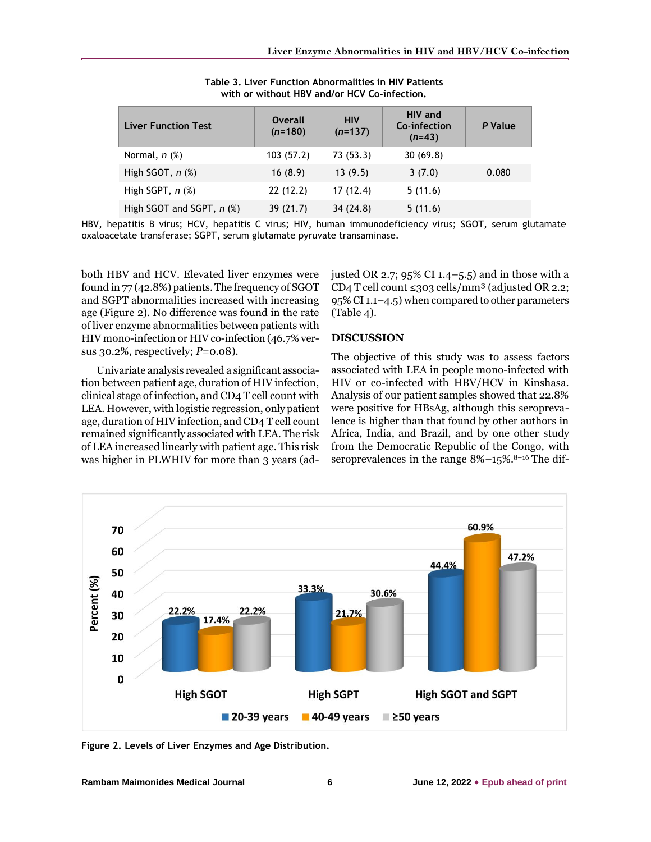| <b>Liver Function Test</b>  | <b>Overall</b><br>$(n=180)$ | <b>HIV</b><br>$(n=137)$ | <b>HIV</b> and<br>Co-infection<br>$(n=43)$ | P Value |
|-----------------------------|-----------------------------|-------------------------|--------------------------------------------|---------|
| Normal, $n$ $%$             | 103(57.2)                   | 73(53.3)                | 30(69.8)                                   |         |
| High SGOT, $n$ $%$ )        | 16(8.9)                     | 13(9.5)                 | 3(7.0)                                     | 0.080   |
| High SGPT, $n$ $(\%)$       | 22(12.2)                    | 17(12.4)                | 5(11.6)                                    |         |
| High SGOT and SGPT, $n$ (%) | 39(21.7)                    | 34(24.8)                | 5(11.6)                                    |         |

**Table 3. Liver Function Abnormalities in HIV Patients with or without HBV and/or HCV Co-infection.**

HBV, hepatitis B virus; HCV, hepatitis C virus; HIV, human immunodeficiency virus; SGOT, serum glutamate oxaloacetate transferase; SGPT, serum glutamate pyruvate transaminase.

both HBV and HCV. Elevated liver enzymes were found in 77 (42.8%) patients. The frequency of SGOT and SGPT abnormalities increased with increasing age (Figure 2). No difference was found in the rate of liver enzyme abnormalities between patients with HIV mono-infection or HIV co-infection (46.7% versus 30.2%, respectively; *P*=0.08).

Univariate analysis revealed a significant association between patient age, duration of HIV infection, clinical stage of infection, and CD4 T cell count with LEA. However, with logistic regression, only patient age, duration of HIV infection, and CD4 T cell count remained significantly associated with LEA. The risk of LEA increased linearly with patient age. This risk was higher in PLWHIV for more than 3 years (adjusted OR 2.7; 95% CI 1.4–5.5) and in those with a CD4 T cell count  $\leq$ 303 cells/mm<sup>3</sup> (adjusted OR 2.2; 95% CI 1.1–4.5) when compared to other parameters (Table 4).

#### **DISCUSSION**

The objective of this study was to assess factors associated with LEA in people mono-infected with HIV or co-infected with HBV/HCV in Kinshasa. Analysis of our patient samples showed that 22.8% were positive for HBsAg, although this seroprevalence is higher than that found by other authors in Africa, India, and Brazil, and by one other study from the Democratic Republic of the Congo, with seroprevalences in the range  $8\% -15\%$ .<sup>8-16</sup> The dif-



**Figure 2. Levels of Liver Enzymes and Age Distribution.**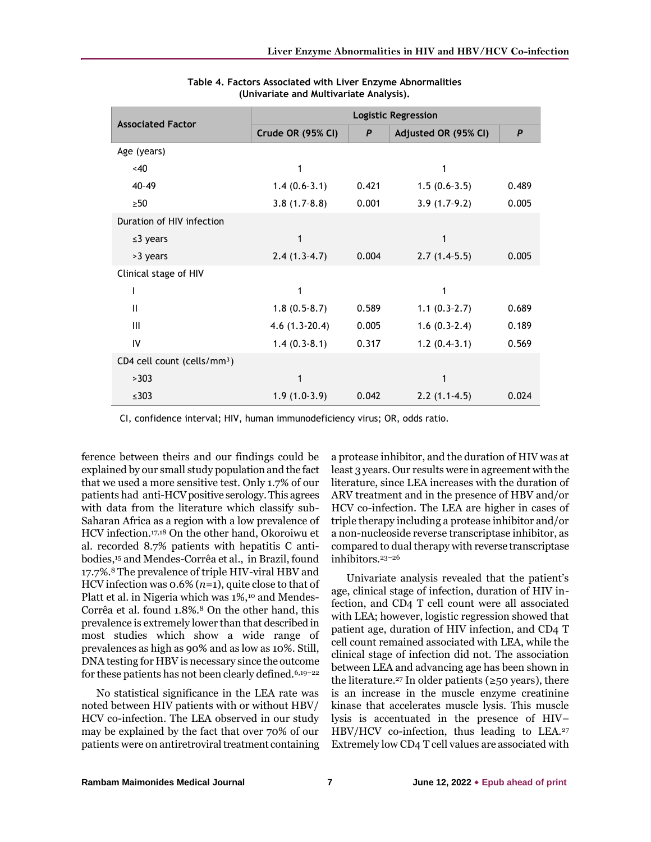| <b>Associated Factor</b>                | <b>Logistic Regression</b> |       |                      |                  |
|-----------------------------------------|----------------------------|-------|----------------------|------------------|
|                                         | Crude OR (95% CI)          | P     | Adjusted OR (95% CI) | $\boldsymbol{P}$ |
| Age (years)                             |                            |       |                      |                  |
| <40                                     | 1                          |       | 1                    |                  |
| $40 - 49$                               | $1.4(0.6-3.1)$             | 0.421 | $1.5(0.6-3.5)$       | 0.489            |
| $>50$                                   | $3.8(1.7-8.8)$             | 0.001 | $3.9(1.7-9.2)$       | 0.005            |
| Duration of HIV infection               |                            |       |                      |                  |
| $\leq$ 3 years                          | 1                          |       | 1                    |                  |
| >3 years                                | $2.4(1.3-4.7)$             | 0.004 | $2.7(1.4-5.5)$       | 0.005            |
| Clinical stage of HIV                   |                            |       |                      |                  |
|                                         | 1                          |       | 1                    |                  |
| $\mathbf{I}$                            | $1.8(0.5-8.7)$             | 0.589 | $1.1(0.3-2.7)$       | 0.689            |
| III                                     | $4.6(1.3-20.4)$            | 0.005 | $1.6(0.3-2.4)$       | 0.189            |
| IV                                      | $1.4(0.3-8.1)$             | 0.317 | $1.2(0.4-3.1)$       | 0.569            |
| CD4 cell count (cells/mm <sup>3</sup> ) |                            |       |                      |                  |
| >303                                    | 1                          |       |                      |                  |
| $\leq 303$                              | $1.9(1.0-3.9)$             | 0.042 | $2.2(1.1-4.5)$       | 0.024            |

**Table 4. Factors Associated with Liver Enzyme Abnormalities (Univariate and Multivariate Analysis).**

CI, confidence interval; HIV, human immunodeficiency virus; OR, odds ratio.

ference between theirs and our findings could be explained by our small study population and the fact that we used a more sensitive test. Only 1.7% of our patients had anti-HCV positive serology. This agrees with data from the literature which classify sub-Saharan Africa as a region with a low prevalence of HCV infection.17,18 On the other hand, Okoroiwu et al. recorded 8.7% patients with hepatitis C antibodies,<sup>15</sup> and Mendes-Corrêa et al., in Brazil, found 17.7%.<sup>8</sup> The prevalence of triple HIV-viral HBV and HCV infection was 0.6% (*n*=1), quite close to that of Platt et al. in Nigeria which was 1%,<sup>10</sup> and Mendes-Corrêa et al. found 1.8%.<sup>8</sup> On the other hand, this prevalence is extremely lower than that described in most studies which show a wide range of prevalences as high as 90% and as low as 10%. Still, DNA testing for HBV is necessary since the outcome for these patients has not been clearly defined.6,19–<sup>22</sup>

No statistical significance in the LEA rate was noted between HIV patients with or without HBV/ HCV co-infection. The LEA observed in our study may be explained by the fact that over 70% of our patients were on antiretroviral treatment containing

a protease inhibitor, and the duration of HIV was at least 3 years. Our results were in agreement with the literature, since LEA increases with the duration of ARV treatment and in the presence of HBV and/or HCV co-infection. The LEA are higher in cases of triple therapy including a protease inhibitor and/or a non-nucleoside reverse transcriptase inhibitor, as compared to dual therapy with reverse transcriptase inhibitors.23–<sup>26</sup>

Univariate analysis revealed that the patient's age, clinical stage of infection, duration of HIV infection, and CD4 T cell count were all associated with LEA; however, logistic regression showed that patient age, duration of HIV infection, and CD4 T cell count remained associated with LEA, while the clinical stage of infection did not. The association between LEA and advancing age has been shown in the literature.<sup>27</sup> In older patients ( $\geq$ 50 years), there is an increase in the muscle enzyme creatinine kinase that accelerates muscle lysis. This muscle lysis is accentuated in the presence of HIV– HBV/HCV co-infection, thus leading to LEA.<sup>27</sup> Extremely low CD4 T cell values are associated with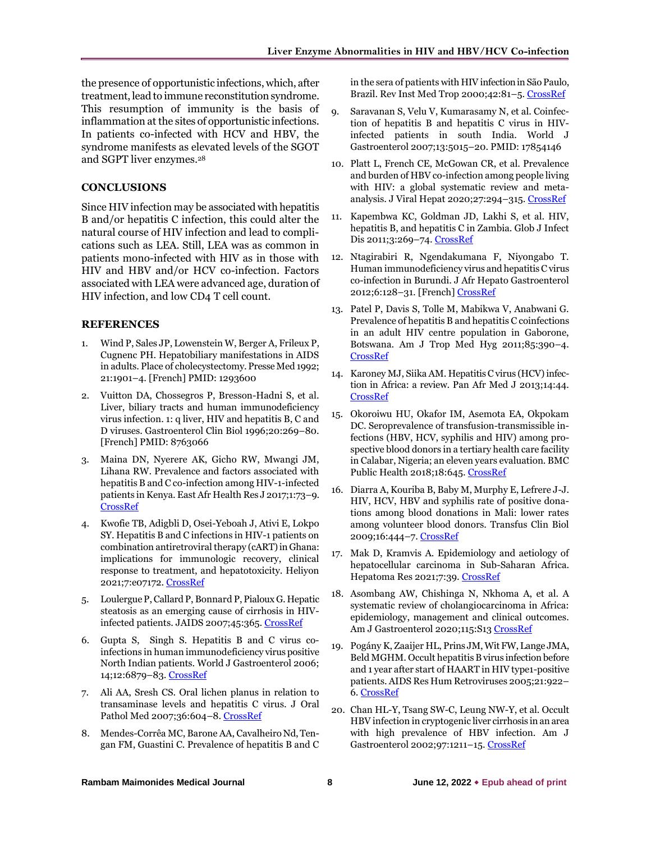the presence of opportunistic infections, which, after treatment, lead to immune reconstitution syndrome. This resumption of immunity is the basis of inflammation at the sites of opportunistic infections. In patients co-infected with HCV and HBV, the syndrome manifests as elevated levels of the SGOT and SGPT liver enzymes.<sup>28</sup>

### **CONCLUSIONS**

Since HIV infection may be associated with hepatitis B and/or hepatitis C infection, this could alter the natural course of HIV infection and lead to complications such as LEA. Still, LEA was as common in patients mono-infected with HIV as in those with HIV and HBV and/or HCV co-infection. Factors associated with LEA were advanced age, duration of HIV infection, and low CD4 T cell count.

# **REFERENCES**

- 1. Wind P, Sales JP, Lowenstein W, Berger A, Frileux P, Cugnenc PH. Hepatobiliary manifestations in AIDS in adults. Place of cholecystectomy. Presse Med 1992; 21:1901–4. [French] PMID: 1293600
- 2. Vuitton DA, Chossegros P, Bresson-Hadni S, et al. Liver, biliary tracts and human immunodeficiency virus infection. 1: q liver, HIV and hepatitis B, C and D viruses. Gastroenterol Clin Biol 1996;20:269–80. [French] PMID: 8763066
- 3. Maina DN, Nyerere AK, Gicho RW, Mwangi JM, Lihana RW. Prevalence and factors associated with hepatitis B and C co-infection among HIV-1-infected patients in Kenya. East Afr Health Res J 2017;1:73–9. [CrossRef](https://doi.org/10.24248/eahrj-d-16-00334)
- 4. Kwofie TB, Adigbli D, Osei-Yeboah J, Ativi E, Lokpo SY. Hepatitis B and C infections in HIV-1 patients on combination antiretroviral therapy (cART) in Ghana: implications for immunologic recovery, clinical response to treatment, and hepatotoxicity. Heliyon 2021;7:e07172[. CrossRef](https://doi.org/10.1016/j.heliyon.2021.e07172)
- 5. Loulergue P, Callard P, Bonnard P, Pialoux G. Hepatic steatosis as an emerging cause of cirrhosis in HIVinfected patients. JAIDS 2007;45:365. [CrossRef](https://doi.org/10.1097/QAI.0b013e318050d864)
- 6. [Gupta](https://pubmed.ncbi.nlm.nih.gov/?term=Gupta+S&cauthor_id=17106941) S, [Singh](https://pubmed.ncbi.nlm.nih.gov/?term=Singh+S&cauthor_id=17106941) S. Hepatitis B and C virus coinfections in human immunodeficiency virus positive North Indian patients. World J Gastroenterol 2006; 14;12:6879–83. [CrossRef](https://doi.org/10.3748/wjg.v12.i42.6879)
- 7. Ali AA, Sresh CS. Oral lichen planus in relation to transaminase levels and hepatitis C virus. J Oral Pathol Med 2007;36:604–8[. CrossRef](https://doi.org/10.1111/j.1600-0714.2007.00581.x)
- 8. Mendes-Corrêa MC, Barone AA, Cavalheiro Nd, Tengan FM, Guastini C. Prevalence of hepatitis B and C

in the sera of patients with HIV infectionin São Paulo, Brazil. Rev Inst Med Trop 2000;42:81–5. [CrossRef](https://doi.org/10.1590/s0036-46652000000200004)

- 9. Saravanan S, Velu V, Kumarasamy N, et al. Coinfection of hepatitis B and hepatitis C virus in HIVinfected patients in south India. World J Gastroenterol 2007;13:5015–20. PMID: 17854146
- 10. Platt L, French CE, McGowan CR, et al. Prevalence and burden of HBV co-infection among people living with HIV: a global systematic review and meta-analysis. J Viral Hepat 2020;27:294-315[. CrossRef](https://doi.org/10.1111/jvh.13217)
- 11. Kapembwa KC, Goldman JD, Lakhi S, et al. HIV, hepatitis B, and hepatitis C in Zambia. Glob J Infect Dis 2011;3:269-74[. CrossRef](https://doi.org/10.4103/0974-777x.83534)
- 12. Ntagirabiri R, Ngendakumana F, Niyongabo T. Human immunodeficiency virus and hepatitis C virus co-infection in Burundi. J Afr Hepato Gastroenterol 2012;6:128–31. [French[\] CrossRef](https://doi.org/10.1007/s12157-012-0387-2)
- 13. Patel P, Davis S, Tolle M, Mabikwa V, Anabwani G. Prevalence of hepatitis B and hepatitis C coinfections in an adult HIV centre population in Gaborone, Botswana. Am J Trop Med Hyg 2011;85:390–4. [CrossRef](https://doi.org/10.4269/ajtmh.2011.10-0510)
- 14. Karoney MJ, Siika AM. Hepatitis C virus (HCV) infection in Africa: a review. [Pan Afr Med J](https://www.ncbi.nlm.nih.gov/pmc/articles/PMC3612901/) 2013;14:44. [CrossRef](https://doi.org/10.11604/pamj.2013.14.44.2199)
- 15. Okoroiwu HU, Okafor IM, Asemota EA, Okpokam DC. Seroprevalence of transfusion-transmissible infections (HBV, HCV, syphilis and HIV) among prospective blood donors in a tertiary health care facility in Calabar, Nigeria; an eleven years evaluation. BMC Public Health 2018;18:645[. CrossRef](https://doi.org/10.1186/s12889-018-5555-x)
- 16. Diarra A, Kouriba B, Baby M, Murphy E, Lefrere J-J. HIV, HCV, HBV and syphilis rate of positive donations among blood donations in Mali: lower rates among volunteer blood donors. Transfus Clin Biol 2009;16:444–7[. CrossRef](https://doi.org/10.1016/j.tracli.2009.09.004)
- 17. Mak D, Kramvis A. Epidemiology and aetiology of hepatocellular carcinoma in Sub-Saharan Africa. Hepatoma Res 2021;7:39[. CrossRef](https://doi.org/10.20517/2394-5079.2021.15)
- 18. Asombang AW, Chishinga N, Nkhoma A, et al. A systematic review of cholangiocarcinoma in Africa: epidemiology, management and clinical outcomes. Am J Gastroenterol 2020;115:S13 [CrossRef](https://doi.org/10.14309/01.ajg.0000697996.30044.f0)
- 19. Pogány K, Zaaijer HL, Prins JM, Wit FW, Lange JMA, Beld MGHM. Occult hepatitis B virus infection before and 1 year after start of HAART in HIV type1-positive patients. AIDS Res Hum Retroviruses 2005;21:922– 6[. CrossRef](https://doi.org/10.1089/aid.2005.21.922)
- 20. Chan HL-Y, Tsang SW-C, Leung NW-Y, et al. Occult HBV infection in cryptogenic liver cirrhosis in an area with high prevalence of HBV infection. Am J Gastroenterol 2002;97:1211–15[. CrossRef](https://doi.org/10.1111/j.1572-0241.2002.05706.x)